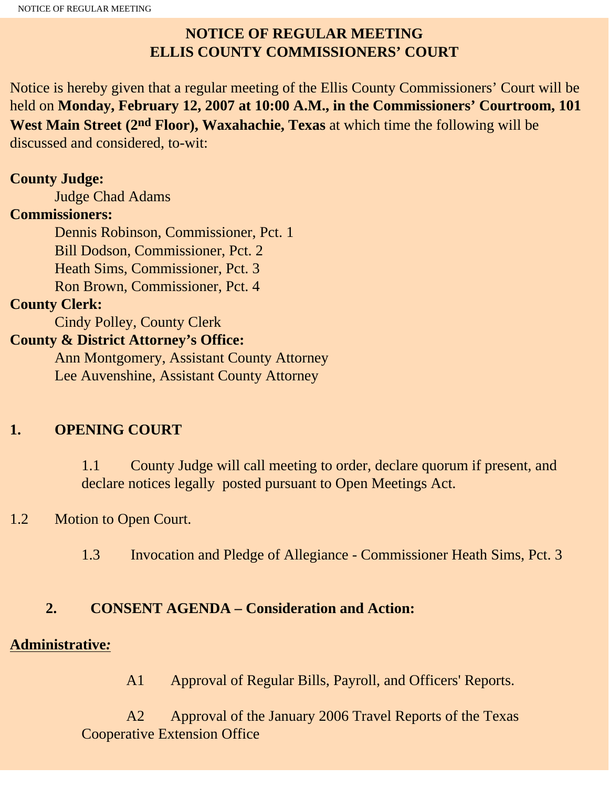## **NOTICE OF REGULAR MEETING ELLIS COUNTY COMMISSIONERS' COURT**

Notice is hereby given that a regular meeting of the Ellis County Commissioners' Court will be held on **Monday, February 12, 2007 at 10:00 A.M., in the Commissioners' Courtroom, 101 West Main Street (2nd Floor), Waxahachie, Texas** at which time the following will be discussed and considered, to-wit:

### **County Judge:**

Judge Chad Adams

#### **Commissioners:**

 Dennis Robinson, Commissioner, Pct. 1 Bill Dodson, Commissioner, Pct. 2 Heath Sims, Commissioner, Pct. 3 Ron Brown, Commissioner, Pct. 4

## **County Clerk:**

Cindy Polley, County Clerk

## **County & District Attorney's Office:**

 Ann Montgomery, Assistant County Attorney Lee Auvenshine, Assistant County Attorney

## **1. OPENING COURT**

1.1 County Judge will call meeting to order, declare quorum if present, and declare notices legally posted pursuant to Open Meetings Act.

## 1.2 Motion to Open Court.

1.3 Invocation and Pledge of Allegiance - Commissioner Heath Sims, Pct. 3

## **2. CONSENT AGENDA – Consideration and Action:**

## **Administrative***:*

A1 Approval of Regular Bills, Payroll, and Officers' Reports.

 A2 Approval of the January 2006 Travel Reports of the Texas Cooperative Extension Office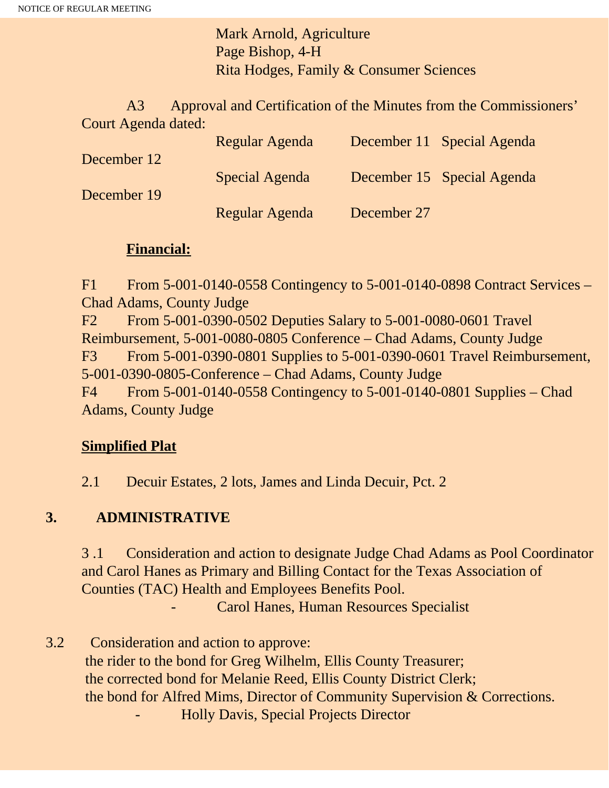Mark Arnold, Agriculture Page Bishop, 4-H Rita Hodges, Family & Consumer Sciences

 A3 Approval and Certification of the Minutes from the Commissioners' Court Agenda dated:

|             | Regular Agenda |             | December 11 Special Agenda |
|-------------|----------------|-------------|----------------------------|
| December 12 |                |             |                            |
|             | Special Agenda |             | December 15 Special Agenda |
| December 19 |                |             |                            |
|             | Regular Agenda | December 27 |                            |

#### **Financial:**

F1 From 5-001-0140-0558 Contingency to 5-001-0140-0898 Contract Services – Chad Adams, County Judge F2 From 5-001-0390-0502 Deputies Salary to 5-001-0080-0601 Travel Reimbursement, 5-001-0080-0805 Conference – Chad Adams, County Judge F3 From 5-001-0390-0801 Supplies to 5-001-0390-0601 Travel Reimbursement,

5-001-0390-0805-Conference – Chad Adams, County Judge

F4 From 5-001-0140-0558 Contingency to 5-001-0140-0801 Supplies – Chad Adams, County Judge

#### **Simplified Plat**

2.1 Decuir Estates, 2 lots, James and Linda Decuir, Pct. 2

## **3. ADMINISTRATIVE**

3 .1 Consideration and action to designate Judge Chad Adams as Pool Coordinator and Carol Hanes as Primary and Billing Contact for the Texas Association of Counties (TAC) Health and Employees Benefits Pool.

Carol Hanes, Human Resources Specialist

3.2 Consideration and action to approve: the rider to the bond for Greg Wilhelm, Ellis County Treasurer; the corrected bond for Melanie Reed, Ellis County District Clerk; the bond for Alfred Mims, Director of Community Supervision & Corrections. - Holly Davis, Special Projects Director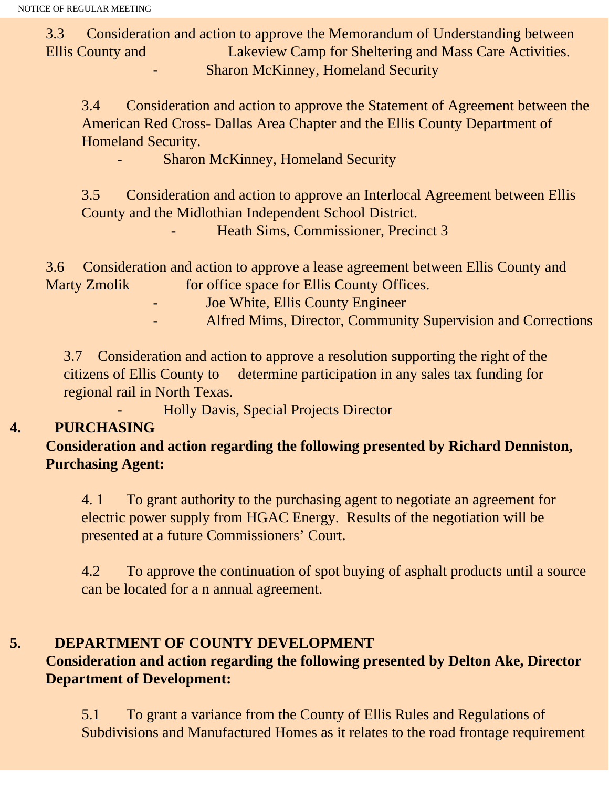3.3 Consideration and action to approve the Memorandum of Understanding between Ellis County and Lakeview Camp for Sheltering and Mass Care Activities. Sharon McKinney, Homeland Security

3.4 Consideration and action to approve the Statement of Agreement between the American Red Cross- Dallas Area Chapter and the Ellis County Department of Homeland Security.

Sharon McKinney, Homeland Security

3.5 Consideration and action to approve an Interlocal Agreement between Ellis County and the Midlothian Independent School District.

- Heath Sims, Commissioner, Precinct 3

3.6 Consideration and action to approve a lease agreement between Ellis County and Marty Zmolik for office space for Ellis County Offices.

Joe White, Ellis County Engineer

- Alfred Mims, Director, Community Supervision and Corrections

3.7 Consideration and action to approve a resolution supporting the right of the citizens of Ellis County to determine participation in any sales tax funding for regional rail in North Texas.

- Holly Davis, Special Projects Director

## **4. PURCHASING**

**Consideration and action regarding the following presented by Richard Denniston, Purchasing Agent:**

4. 1 To grant authority to the purchasing agent to negotiate an agreement for electric power supply from HGAC Energy. Results of the negotiation will be presented at a future Commissioners' Court.

4.2 To approve the continuation of spot buying of asphalt products until a source can be located for a n annual agreement.

## **5. DEPARTMENT OF COUNTY DEVELOPMENT**

## **Consideration and action regarding the following presented by Delton Ake, Director Department of Development:**

5.1 To grant a variance from the County of Ellis Rules and Regulations of Subdivisions and Manufactured Homes as it relates to the road frontage requirement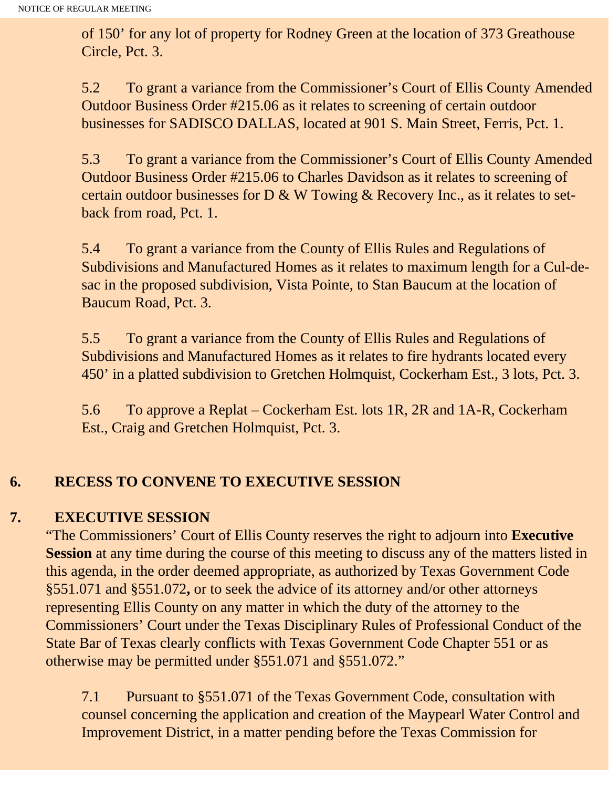of 150' for any lot of property for Rodney Green at the location of 373 Greathouse Circle, Pct. 3.

5.2 To grant a variance from the Commissioner's Court of Ellis County Amended Outdoor Business Order #215.06 as it relates to screening of certain outdoor businesses for SADISCO DALLAS, located at 901 S. Main Street, Ferris, Pct. 1.

5.3 To grant a variance from the Commissioner's Court of Ellis County Amended Outdoor Business Order #215.06 to Charles Davidson as it relates to screening of certain outdoor businesses for D & W Towing & Recovery Inc., as it relates to setback from road, Pct. 1.

5.4 To grant a variance from the County of Ellis Rules and Regulations of Subdivisions and Manufactured Homes as it relates to maximum length for a Cul-desac in the proposed subdivision, Vista Pointe, to Stan Baucum at the location of Baucum Road, Pct. 3.

5.5 To grant a variance from the County of Ellis Rules and Regulations of Subdivisions and Manufactured Homes as it relates to fire hydrants located every 450' in a platted subdivision to Gretchen Holmquist, Cockerham Est., 3 lots, Pct. 3.

5.6 To approve a Replat – Cockerham Est. lots 1R, 2R and 1A-R, Cockerham Est., Craig and Gretchen Holmquist, Pct. 3.

# **6. RECESS TO CONVENE TO EXECUTIVE SESSION**

## **7. EXECUTIVE SESSION**

"The Commissioners' Court of Ellis County reserves the right to adjourn into **Executive Session** at any time during the course of this meeting to discuss any of the matters listed in this agenda, in the order deemed appropriate, as authorized by Texas Government Code §551.071 and §551.072**,** or to seek the advice of its attorney and/or other attorneys representing Ellis County on any matter in which the duty of the attorney to the Commissioners' Court under the Texas Disciplinary Rules of Professional Conduct of the State Bar of Texas clearly conflicts with Texas Government Code Chapter 551 or as otherwise may be permitted under §551.071 and §551.072."

7.1 Pursuant to §551.071 of the Texas Government Code, consultation with counsel concerning the application and creation of the Maypearl Water Control and Improvement District, in a matter pending before the Texas Commission for